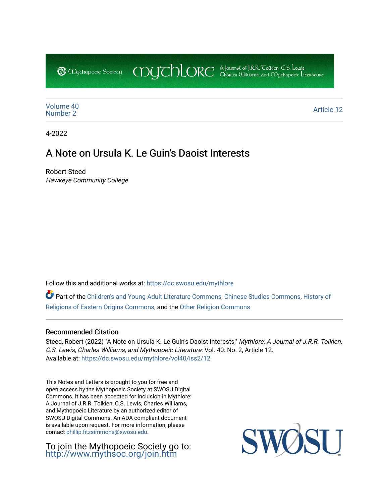CDUCHLORE A Journal of J.R.R. Coltien, C.S. Lewis,<br>CDUCHLORE Charles Williams, and Obyethopoeic Literacure **@** Mychopoeic Sociecy

[Volume 40](https://dc.swosu.edu/mythlore/vol40) [Number 2](https://dc.swosu.edu/mythlore/vol40/iss2) Article 12<br>Number 2

4-2022

# A Note on Ursula K. Le Guin's Daoist Interests

Robert Steed Hawkeye Community College

Follow this and additional works at: [https://dc.swosu.edu/mythlore](https://dc.swosu.edu/mythlore?utm_source=dc.swosu.edu%2Fmythlore%2Fvol40%2Fiss2%2F12&utm_medium=PDF&utm_campaign=PDFCoverPages) 

Part of the [Children's and Young Adult Literature Commons,](http://network.bepress.com/hgg/discipline/1289?utm_source=dc.swosu.edu%2Fmythlore%2Fvol40%2Fiss2%2F12&utm_medium=PDF&utm_campaign=PDFCoverPages) [Chinese Studies Commons](http://network.bepress.com/hgg/discipline/1081?utm_source=dc.swosu.edu%2Fmythlore%2Fvol40%2Fiss2%2F12&utm_medium=PDF&utm_campaign=PDFCoverPages), [History of](http://network.bepress.com/hgg/discipline/543?utm_source=dc.swosu.edu%2Fmythlore%2Fvol40%2Fiss2%2F12&utm_medium=PDF&utm_campaign=PDFCoverPages) [Religions of Eastern Origins Commons](http://network.bepress.com/hgg/discipline/543?utm_source=dc.swosu.edu%2Fmythlore%2Fvol40%2Fiss2%2F12&utm_medium=PDF&utm_campaign=PDFCoverPages), and the [Other Religion Commons](http://network.bepress.com/hgg/discipline/545?utm_source=dc.swosu.edu%2Fmythlore%2Fvol40%2Fiss2%2F12&utm_medium=PDF&utm_campaign=PDFCoverPages) 

## Recommended Citation

Steed, Robert (2022) "A Note on Ursula K. Le Guin's Daoist Interests," Mythlore: A Journal of J.R.R. Tolkien, C.S. Lewis, Charles Williams, and Mythopoeic Literature: Vol. 40: No. 2, Article 12. Available at: [https://dc.swosu.edu/mythlore/vol40/iss2/12](https://dc.swosu.edu/mythlore/vol40/iss2/12?utm_source=dc.swosu.edu%2Fmythlore%2Fvol40%2Fiss2%2F12&utm_medium=PDF&utm_campaign=PDFCoverPages)

This Notes and Letters is brought to you for free and open access by the Mythopoeic Society at SWOSU Digital Commons. It has been accepted for inclusion in Mythlore: A Journal of J.R.R. Tolkien, C.S. Lewis, Charles Williams, and Mythopoeic Literature by an authorized editor of SWOSU Digital Commons. An ADA compliant document is available upon request. For more information, please contact [phillip.fitzsimmons@swosu.edu.](mailto:phillip.fitzsimmons@swosu.edu)

To join the Mythopoeic Society go to: <http://www.mythsoc.org/join.htm>

SWO **ST T**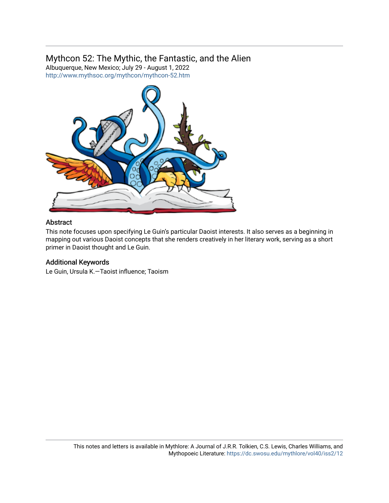# Mythcon 52: The Mythic, the Fantastic, and the Alien

Albuquerque, New Mexico; July 29 - August 1, 2022 <http://www.mythsoc.org/mythcon/mythcon-52.htm>



# Abstract

This note focuses upon specifying Le Guin's particular Daoist interests. It also serves as a beginning in mapping out various Daoist concepts that she renders creatively in her literary work, serving as a short primer in Daoist thought and Le Guin.

# Additional Keywords

Le Guin, Ursula K.—Taoist influence; Taoism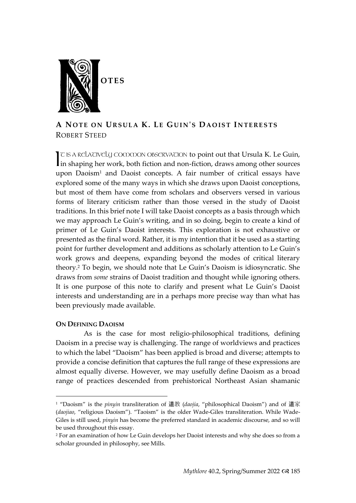

## **A NO T E O N UR S U L A K. LE GUIN 'S DA O I S T IN T E R E S T S** ROBERT STEED

T IS A RELATIVELY COMMON OBSERVATION to point out that Ursula K. Le Guin,  $\mathcal C$  is a relatively common observation to point out that Ursula K. Le Guin, in shaping her work, both fiction and non-fiction, draws among other sources upon Daoism<sup>1</sup> and Daoist concepts. A fair number of critical essays have explored some of the many ways in which she draws upon Daoist conceptions, but most of them have come from scholars and observers versed in various forms of literary criticism rather than those versed in the study of Daoist traditions. In this brief note I will take Daoist concepts as a basis through which we may approach Le Guin's writing, and in so doing, begin to create a kind of primer of Le Guin's Daoist interests. This exploration is not exhaustive or presented as the final word. Rather, it is my intention that it be used as a starting point for further development and additions as scholarly attention to Le Guin's work grows and deepens, expanding beyond the modes of critical literary theory.<sup>2</sup> To begin, we should note that Le Guin's Daoism is idiosyncratic. She draws from *some* strains of Daoist tradition and thought while ignoring others. It is one purpose of this note to clarify and present what Le Guin's Daoist interests and understanding are in a perhaps more precise way than what has been previously made available.

## **ON DEFINING DAOISM**

As is the case for most religio-philosophical traditions, defining Daoism in a precise way is challenging. The range of worldviews and practices to which the label "Daoism" has been applied is broad and diverse; attempts to provide a concise definition that captures the full range of these expressions are almost equally diverse. However, we may usefully define Daoism as a broad range of practices descended from prehistorical Northeast Asian shamanic

<sup>1</sup> "Daoism" is the *pinyin* transliteration of 道教 (*daojia*, "philosophical Daoism") and of 道家 (*daojiao*, "religious Daoism"). "Taoism" is the older Wade-Giles transliteration. While Wade-Giles is still used, *pinyin* has become the preferred standard in academic discourse, and so will be used throughout this essay.

<sup>2</sup> For an examination of how Le Guin develops her Daoist interests and why she does so from a scholar grounded in philosophy, see Mills.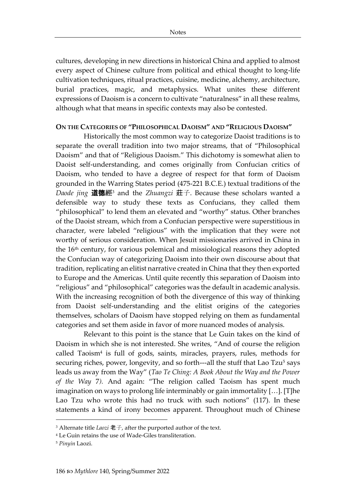cultures, developing in new directions in historical China and applied to almost every aspect of Chinese culture from political and ethical thought to long-life cultivation techniques, ritual practices, cuisine, medicine, alchemy, architecture, burial practices, magic, and metaphysics. What unites these different expressions of Daoism is a concern to cultivate "naturalness" in all these realms, although what that means in specific contexts may also be contested.

### **ON THE CATEGORIES OF "PHILOSOPHICAL DAOISM" AND "RELIGIOUS DAOISM"**

Historically the most common way to categorize Daoist traditions is to separate the overall tradition into two major streams, that of "Philosophical Daoism" and that of "Religious Daoism." This dichotomy is somewhat alien to Daoist self-understanding, and comes originally from Confucian critics of Daoism, who tended to have a degree of respect for that form of Daoism grounded in the Warring States period (475-221 B.C.E.) textual traditions of the *Daode jing* 道德經<sup>3</sup> and the *Zhuangzi* 莊子. Because these scholars wanted a defensible way to study these texts as Confucians, they called them "philosophical" to lend them an elevated and "worthy" status. Other branches of the Daoist stream, which from a Confucian perspective were superstitious in character, were labeled "religious" with the implication that they were not worthy of serious consideration. When Jesuit missionaries arrived in China in the 16th century, for various polemical and missiological reasons they adopted the Confucian way of categorizing Daoism into their own discourse about that tradition, replicating an elitist narrative created in China that they then exported to Europe and the Americas. Until quite recently this separation of Daoism into "religious" and "philosophical" categories was the default in academic analysis. With the increasing recognition of both the divergence of this way of thinking from Daoist self-understanding and the elitist origins of the categories themselves, scholars of Daoism have stopped relying on them as fundamental categories and set them aside in favor of more nuanced modes of analysis.

Relevant to this point is the stance that Le Guin takes on the kind of Daoism in which she is not interested. She writes, "And of course the religion called Taoism<sup>4</sup> is full of gods, saints, miracles, prayers, rules, methods for securing riches, power, longevity, and so forth---all the stuff that Lao Tzu<sup>5</sup> says leads us away from the Way" (*Tao Te Ching: A Book About the Way and the Power of the Way* 7*).* And again: "The religion called Taoism has spent much imagination on ways to prolong life interminably or gain immortality […]. [T]he Lao Tzu who wrote this had no truck with such notions" (117). In these statements a kind of irony becomes apparent. Throughout much of Chinese

<sup>3</sup> Alternate title *Laozi* 老子, after the purported author of the text.

<sup>4</sup> Le Guin retains the use of Wade-Giles transliteration.

<sup>5</sup> *Pinyin* Laozi.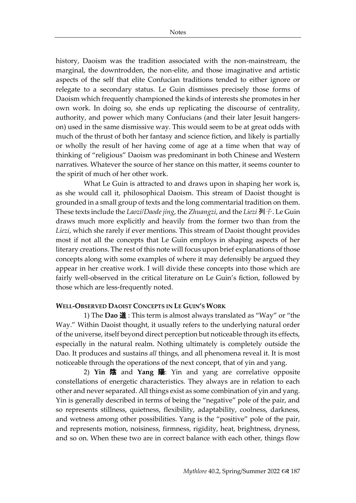history, Daoism was the tradition associated with the non-mainstream, the marginal, the downtrodden, the non-elite, and those imaginative and artistic aspects of the self that elite Confucian traditions tended to either ignore or relegate to a secondary status. Le Guin dismisses precisely those forms of Daoism which frequently championed the kinds of interests she promotes in her own work. In doing so, she ends up replicating the discourse of centrality, authority, and power which many Confucians (and their later Jesuit hangerson) used in the same dismissive way. This would seem to be at great odds with much of the thrust of both her fantasy and science fiction, and likely is partially or wholly the result of her having come of age at a time when that way of thinking of "religious" Daoism was predominant in both Chinese and Western narratives. Whatever the source of her stance on this matter, it seems counter to the spirit of much of her other work.

What Le Guin is attracted to and draws upon in shaping her work is, as she would call it, philosophical Daoism. This stream of Daoist thought is grounded in a small group of texts and the long commentarial tradition on them. These texts include the *Laozi/Daode jing*, the *Zhuangzi*, and the *Liezi* 列子. Le Guin draws much more explicitly and heavily from the former two than from the *Liezi*, which she rarely if ever mentions. This stream of Daoist thought provides most if not all the concepts that Le Guin employs in shaping aspects of her literary creations. The rest of this note will focus upon brief explanations of those concepts along with some examples of where it may defensibly be argued they appear in her creative work. I will divide these concepts into those which are fairly well-observed in the critical literature on Le Guin's fiction, followed by those which are less-frequently noted.

#### **WELL-OBSERVED DAOIST CONCEPTS IN LE GUIN'S WORK**

1) The **Dao** 道 : This term is almost always translated as "Way" or "the Way." Within Daoist thought, it usually refers to the underlying natural order of the universe, itself beyond direct perception but noticeable through its effects, especially in the natural realm. Nothing ultimately is completely outside the Dao. It produces and sustains *all* things, and all phenomena reveal it. It is most noticeable through the operations of the next concept, that of yin and yang.

2) **Yin** 陰 and **Yang** 陽: Yin and yang are correlative opposite constellations of energetic characteristics. They always are in relation to each other and never separated. All things exist as some combination of yin and yang. Yin is generally described in terms of being the "negative" pole of the pair, and so represents stillness, quietness, flexibility, adaptability, coolness, darkness, and wetness among other possibilities. Yang is the "positive" pole of the pair, and represents motion, noisiness, firmness, rigidity, heat, brightness, dryness, and so on. When these two are in correct balance with each other, things flow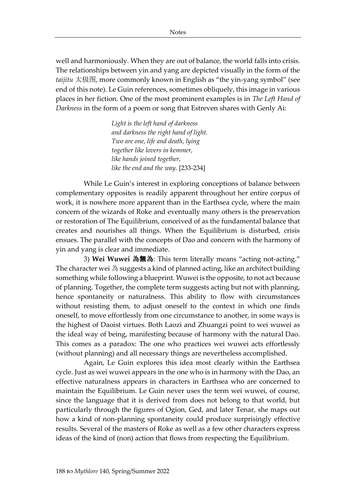well and harmoniously. When they are out of balance, the world falls into crisis. The relationships between yin and yang are depicted visually in the form of the *taijitu* 太极图, more commonly known in English as "the yin-yang symbol" (see end of this note). Le Guin references, sometimes obliquely, this image in various places in her fiction. One of the most prominent examples is in *The Left Hand of Darkness* in the form of a poem or song that Estreven shares with Genly Ai:

> *Light is the left hand of darkness and darkness the right hand of light. Two are one, life and death, lying together like lovers in kemmer, like hands joined together, like the end and the way*. [233-234]

While Le Guin's interest in exploring conceptions of balance between complementary opposites is readily apparent throughout her entire corpus of work, it is nowhere more apparent than in the Earthsea cycle, where the main concern of the wizards of Roke and eventually many others is the preservation or restoration of The Equilibrium, conceived of as the fundamental balance that creates and nourishes all things. When the Equilibrium is disturbed, crisis ensues. The parallel with the concepts of Dao and concern with the harmony of yin and yang is clear and immediate.

3) **Wei Wuwei** 為無為: This term literally means "acting not-acting." The character wei 為 suggests a kind of planned acting, like an architect building something while following a blueprint. Wuwei is the opposite, to not act because of planning. Together, the complete term suggests acting but not with planning, hence spontaneity or naturalness. This ability to flow with circumstances without resisting them, to adjust oneself to the context in which one finds oneself, to move effortlessly from one circumstance to another, in some ways is the highest of Daoist virtues. Both Laozi and Zhuangzi point to wei wuwei as the ideal way of being, manifesting because of harmony with the natural Dao. This comes as a paradox: The one who practices wei wuwei acts effortlessly (without planning) and all necessary things are nevertheless accomplished.

Again, Le Guin explores this idea most clearly within the Earthsea cycle. Just as wei wuwei appears in the one who is in harmony with the Dao, an effective naturalness appears in characters in Earthsea who are concerned to maintain the Equilibrium. Le Guin never uses the term wei wuwei, of course, since the language that it is derived from does not belong to that world, but particularly through the figures of Ogion, Ged, and later Tenar, she maps out how a kind of non-planning spontaneity could produce surprisingly effective results. Several of the masters of Roke as well as a few other characters express ideas of the kind of (non) action that flows from respecting the Equilibrium.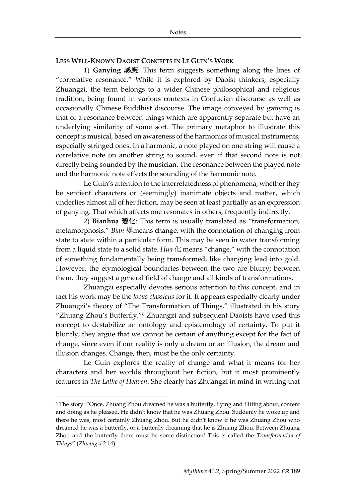## **LESS WELL-KNOWN DAOIST CONCEPTS IN LE GUIN'S WORK**

1) **Ganying** 感應: This term suggests something along the lines of "correlative resonance." While it is explored by Daoist thinkers, especially Zhuangzi, the term belongs to a wider Chinese philosophical and religious tradition, being found in various contexts in Confucian discourse as well as occasionally Chinese Buddhist discourse. The image conveyed by ganying is that of a resonance between things which are apparently separate but have an underlying similarity of some sort. The primary metaphor to illustrate this concept is musical, based on awareness of the harmonics of musical instruments, especially stringed ones. In a harmonic, a note played on one string will cause a correlative note on another string to sound, even if that second note is not directly being sounded by the musician. The resonance between the played note and the harmonic note effects the sounding of the harmonic note.

Le Guin's attention to the interrelatedness of phenomena, whether they be sentient characters or (seemingly) inanimate objects and matter, which underlies almost all of her fiction, may be seen at least partially as an expression of ganying. That which affects one resonates in others, frequently indirectly.

2) **Bianhua** 變化: This term is usually translated as "transformation, metamorphosis." *Bian* 變means change, with the connotation of changing from state to state within a particular form. This may be seen in water transforming from a liquid state to a solid state. *Hua*  $\mathcal{L}$  means "change," with the connotation of something fundamentally being transformed, like changing lead into gold. However, the etymological boundaries between the two are blurry; between them, they suggest a general field of change and all kinds of transformations.

Zhuangzi especially devotes serious attention to this concept, and in fact his work may be the *locus classicus* for it. It appears especially clearly under Zhuangzi's theory of "The Transformation of Things," illustrated in his story "Zhuang Zhou's Butterfly."<sup>6</sup> Zhuangzi and subsequent Daoists have used this concept to destabilize an ontology and epistemology of certainty. To put it bluntly, they argue that we cannot be certain of anything except for the fact of change, since even if our reality is only a dream or an illusion, the dream and illusion changes. Change, then, must be the only certainty.

Le Guin explores the reality of change and what it means for her characters and her worlds throughout her fiction, but it most prominently features in *The Lathe of Heaven*. She clearly has Zhuangzi in mind in writing that

<sup>6</sup> The story: "Once, Zhuang Zhou dreamed he was a butterfly, flying and flitting about, content and doing as he pleased. He didn't know that he was Zhuang Zhou. Suddenly he woke up and there he was, most certainly Zhuang Zhou. But he didn't know if he was Zhuang Zhou who dreamed he was a butterfly, or a butterfly dreaming that he is Zhuang Zhou. Between Zhuang Zhou and the butterfly there must be some distinction! This is called the *Transformation of Things*" (*Zhuangzi* 2:14).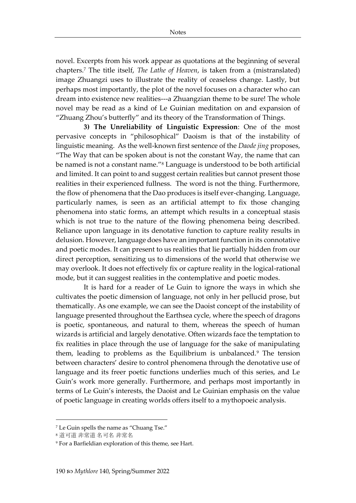novel. Excerpts from his work appear as quotations at the beginning of several chapters.<sup>7</sup> The title itself, *The Lathe of Heaven*, is taken from a (mistranslated) image Zhuangzi uses to illustrate the reality of ceaseless change. Lastly, but perhaps most importantly, the plot of the novel focuses on a character who can dream into existence new realities---a Zhuangzian theme to be sure! The whole novel may be read as a kind of Le Guinian meditation on and expansion of "Zhuang Zhou's butterfly" and its theory of the Transformation of Things.

**3) The Unreliability of Linguistic Expression**: One of the most pervasive concepts in "philosophical" Daoism is that of the instability of linguistic meaning. As the well-known first sentence of the *Daode jing* proposes, "The Way that can be spoken about is not the constant Way, the name that can be named is not a constant name."<sup>8</sup> Language is understood to be both artificial and limited. It can point to and suggest certain realities but cannot present those realities in their experienced fullness. The word is not the thing. Furthermore, the flow of phenomena that the Dao produces is itself ever-changing. Language, particularly names, is seen as an artificial attempt to fix those changing phenomena into static forms, an attempt which results in a conceptual stasis which is not true to the nature of the flowing phenomena being described. Reliance upon language in its denotative function to capture reality results in delusion. However, language does have an important function in its connotative and poetic modes. It can present to us realities that lie partially hidden from our direct perception, sensitizing us to dimensions of the world that otherwise we may overlook. It does not effectively fix or capture reality in the logical-rational mode, but it can suggest realities in the contemplative and poetic modes.

It is hard for a reader of Le Guin to ignore the ways in which she cultivates the poetic dimension of language, not only in her pellucid prose, but thematically. As one example, we can see the Daoist concept of the instability of language presented throughout the Earthsea cycle, where the speech of dragons is poetic, spontaneous, and natural to them, whereas the speech of human wizards is artificial and largely denotative. Often wizards face the temptation to fix realities in place through the use of language for the sake of manipulating them, leading to problems as the Equilibrium is unbalanced.<sup>9</sup> The tension between characters' desire to control phenomena through the denotative use of language and its freer poetic functions underlies much of this series, and Le Guin's work more generally. Furthermore, and perhaps most importantly in terms of Le Guin's interests, the Daoist and Le Guinian emphasis on the value of poetic language in creating worlds offers itself to a mythopoeic analysis.

<sup>7</sup> Le Guin spells the name as "Chuang Tse."

<sup>8</sup> 道可道 非常道 名可名 非常名

<sup>9</sup> For a Barfieldian exploration of this theme, see Hart.